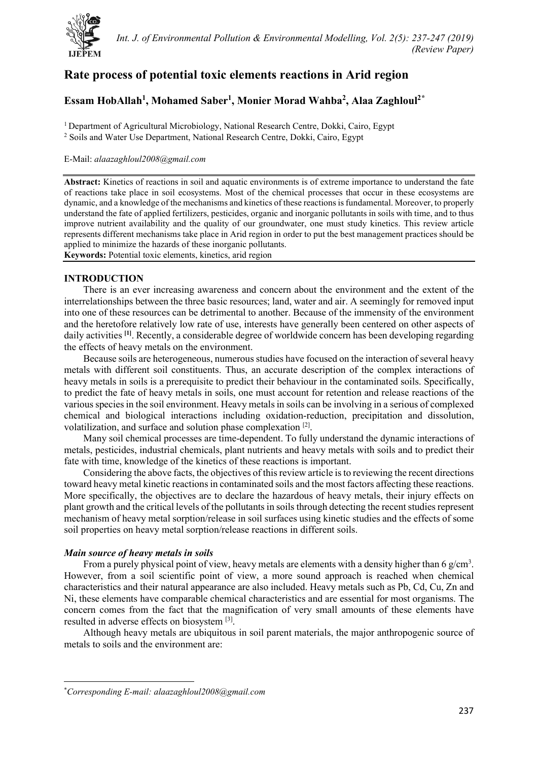

# **Rate process of potential toxic elements reactions in Arid region**

## **Essam HobAllah1, Mohamed Saber1, Monier Morad Wahba2, Alaa Zaghloul[2\\*](#page-0-0)**

1 Department of Agricultural Microbiology, National Research Centre, Dokki, Cairo, Egypt <sup>2</sup> Soils and Water Use Department, National Research Centre, Dokki, Cairo, Egypt

### E-Mail: *alaazaghloul2008@gmail.com*

**Abstract:** Kinetics of reactions in soil and aquatic environments is of extreme importance to understand the fate of reactions take place in soil ecosystems. Most of the chemical processes that occur in these ecosystems are dynamic, and a knowledge of the mechanisms and kinetics of these reactions is fundamental. Moreover, to properly understand the fate of applied fertilizers, pesticides, organic and inorganic pollutants in soils with time, and to thus improve nutrient availability and the quality of our groundwater, one must study kinetics. This review article represents different mechanisms take place in Arid region in order to put the best management practices should be applied to minimize the hazards of these inorganic pollutants.

**Keywords:** Potential toxic elements, kinetics, arid region

### **INTRODUCTION**

There is an ever increasing awareness and concern about the environment and the extent of the interrelationships between the three basic resources; land, water and air. A seemingly for removed input into one of these resources can be detrimental to another. Because of the immensity of the environment and the heretofore relatively low rate of use, interests have generally been centered on other aspects of daily activities **[1]** . Recently, a considerable degree of worldwide concern has been developing regarding the effects of heavy metals on the environment.

Because soils are heterogeneous, numerous studies have focused on the interaction of several heavy metals with different soil constituents. Thus, an accurate description of the complex interactions of heavy metals in soils is a prerequisite to predict their behaviour in the contaminated soils. Specifically, to predict the fate of heavy metals in soils, one must account for retention and release reactions of the various species in the soil environment. Heavy metals in soils can be involving in a serious of complexed chemical and biological interactions including oxidation-reduction, precipitation and dissolution, volatilization, and surface and solution phase complexation [2].

Many soil chemical processes are time-dependent. To fully understand the dynamic interactions of metals, pesticides, industrial chemicals, plant nutrients and heavy metals with soils and to predict their fate with time, knowledge of the kinetics of these reactions is important.

Considering the above facts, the objectives of this review article is to reviewing the recent directions toward heavy metal kinetic reactions in contaminated soils and the most factors affecting these reactions. More specifically, the objectives are to declare the hazardous of heavy metals, their injury effects on plant growth and the critical levels of the pollutants in soils through detecting the recent studies represent mechanism of heavy metal sorption/release in soil surfaces using kinetic studies and the effects of some soil properties on heavy metal sorption/release reactions in different soils.

### *Main source of heavy metals in soils*

From a purely physical point of view, heavy metals are elements with a density higher than 6  $g/cm<sup>3</sup>$ . However, from a soil scientific point of view, a more sound approach is reached when chemical characteristics and their natural appearance are also included. Heavy metals such as Pb, Cd, Cu, Zn and Ni, these elements have comparable chemical characteristics and are essential for most organisms. The concern comes from the fact that the magnification of very small amounts of these elements have resulted in adverse effects on biosystem [3].

Although heavy metals are ubiquitous in soil parent materials, the major anthropogenic source of metals to soils and the environment are:

<span id="page-0-0"></span><sup>\*</sup> *Corresponding E-mail: alaazaghloul2008@gmail.com*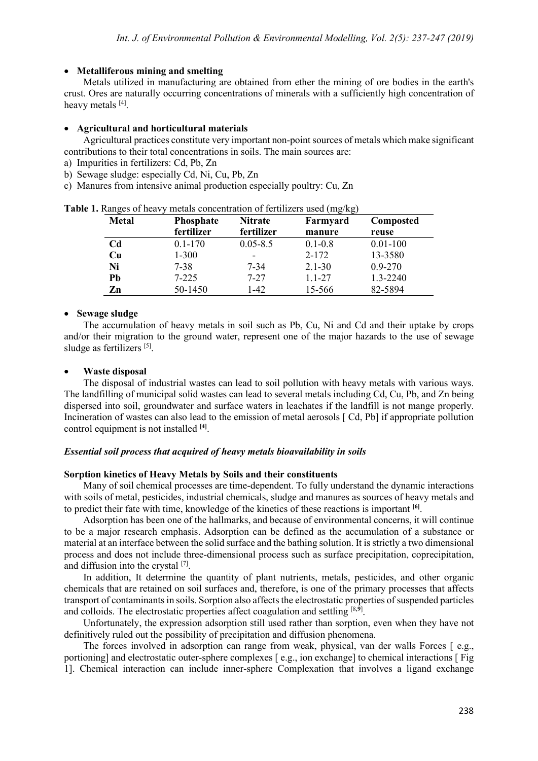#### • **Metalliferous mining and smelting**

Metals utilized in manufacturing are obtained from ether the mining of ore bodies in the earth's crust. Ores are naturally occurring concentrations of minerals with a sufficiently high concentration of heavy metals [4].

#### • **Agricultural and horticultural materials**

Agricultural practices constitute very important non-point sources of metals which make significant contributions to their total concentrations in soils. The main sources are:

- a) Impurities in fertilizers: Cd, Pb, Zn
- b) Sewage sludge: especially Cd, Ni, Cu, Pb, Zn
- c) Manures from intensive animal production especially poultry: Cu, Zn

| <b>Metal</b> | Phosphate   | <b>Nitrate</b> | ິ<br>Farmyard | Composted    |
|--------------|-------------|----------------|---------------|--------------|
|              | fertilizer  | fertilizer     | manure        | reuse        |
| Cd           | $0.1 - 170$ | $0.05 - 8.5$   | $0.1 - 0.8$   | $0.01 - 100$ |
| Cu           | $1 - 300$   | -              | $2 - 172$     | 13-3580      |
| Ni           | 7-38        | 7-34           | $2.1 - 30$    | $0.9 - 270$  |
| Pb           | $7 - 225$   | $7 - 27$       | $1.1 - 27$    | 1.3-2240     |
| Zn           | 50-1450     | $-42$          | 15-566        | 82-5894      |

**Table 1.** Ranges of heavy metals concentration of fertilizers used (mg/kg)

### • **Sewage sludge**

The accumulation of heavy metals in soil such as Pb, Cu, Ni and Cd and their uptake by crops and/or their migration to the ground water, represent one of the major hazards to the use of sewage sludge as fertilizers [5].

### • **Waste disposal**

The disposal of industrial wastes can lead to soil pollution with heavy metals with various ways. The landfilling of municipal solid wastes can lead to several metals including Cd, Cu, Pb, and Zn being dispersed into soil, groundwater and surface waters in leachates if the landfill is not mange properly. Incineration of wastes can also lead to the emission of metal aerosols [Cd, Pb] if appropriate pollution control equipment is not installed **[4]**.

#### *Essential soil process that acquired of heavy metals bioavailability in soils*

#### **Sorption kinetics of Heavy Metals by Soils and their constituents**

Many of soil chemical processes are time-dependent. To fully understand the dynamic interactions with soils of metal, pesticides, industrial chemicals, sludge and manures as sources of heavy metals and to predict their fate with time, knowledge of the kinetics of these reactions is important **[6]**.

Adsorption has been one of the hallmarks, and because of environmental concerns, it will continue to be a major research emphasis. Adsorption can be defined as the accumulation of a substance or material at an interface between the solid surface and the bathing solution. It is strictly a two dimensional process and does not include three-dimensional process such as surface precipitation, coprecipitation, and diffusion into the crystal [7].

In addition, It determine the quantity of plant nutrients, metals, pesticides, and other organic chemicals that are retained on soil surfaces and, therefore, is one of the primary processes that affects transport of contaminants in soils. Sorption also affects the electrostatic properties of suspended particles and colloids. The electrostatic properties affect coagulation and settling [8,**9**] .

Unfortunately, the expression adsorption still used rather than sorption, even when they have not definitively ruled out the possibility of precipitation and diffusion phenomena.

The forces involved in adsorption can range from weak, physical, van der walls Forces [ e.g., portioning] and electrostatic outer-sphere complexes [ e.g., ion exchange] to chemical interactions [ Fig 1]. Chemical interaction can include inner-sphere Complexation that involves a ligand exchange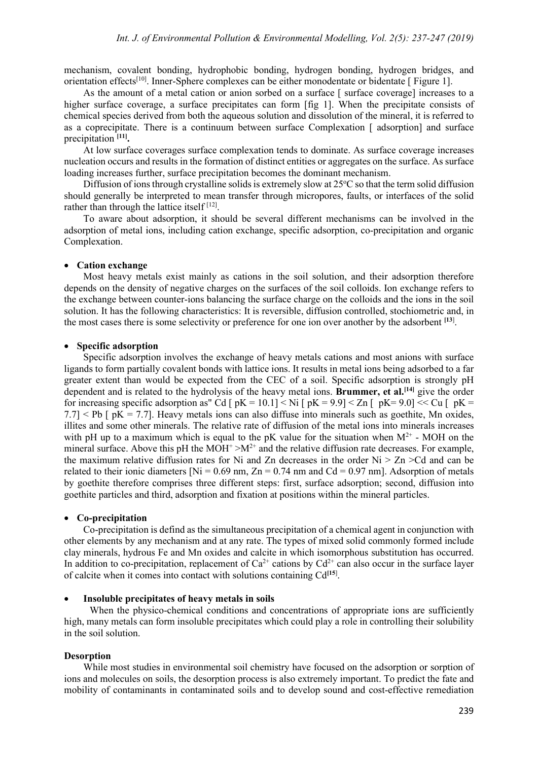mechanism, covalent bonding, hydrophobic bonding, hydrogen bonding, hydrogen bridges, and orientation effects[10]. Inner-Sphere complexes can be either monodentate or bidentate [ Figure 1].

As the amount of a metal cation or anion sorbed on a surface [ surface coverage] increases to a higher surface coverage, a surface precipitates can form [fig 1]. When the precipitate consists of chemical species derived from both the aqueous solution and dissolution of the mineral, it is referred to as a coprecipitate. There is a continuum between surface Complexation [ adsorption] and surface precipitation **[11].**

At low surface coverages surface complexation tends to dominate. As surface coverage increases nucleation occurs and results in the formation of distinct entities or aggregates on the surface. As surface loading increases further, surface precipitation becomes the dominant mechanism.

Diffusion of ions through crystalline solids is extremely slow at  $25^{\circ}$ C so that the term solid diffusion should generally be interpreted to mean transfer through micropores, faults, or interfaces of the solid rather than through the lattice itself [12].

To aware about adsorption, it should be several different mechanisms can be involved in the adsorption of metal ions, including cation exchange, specific adsorption, co-precipitation and organic Complexation.

#### • **Cation exchange**

Most heavy metals exist mainly as cations in the soil solution, and their adsorption therefore depends on the density of negative charges on the surfaces of the soil colloids. Ion exchange refers to the exchange between counter-ions balancing the surface charge on the colloids and the ions in the soil solution. It has the following characteristics: It is reversible, diffusion controlled, stochiometric and, in the most cases there is some selectivity or preference for one ion over another by the adsorbent **[13**] .

#### • **Specific adsorption**

Specific adsorption involves the exchange of heavy metals cations and most anions with surface ligands to form partially covalent bonds with lattice ions. It results in metal ions being adsorbed to a far greater extent than would be expected from the CEC of a soil. Specific adsorption is strongly pH dependent and is related to the hydrolysis of the heavy metal ions. **Brummer, et al.**<sup>[14]</sup> give the order for increasing specific adsorption as" Cd [  $pK = 10.1$ ]  $\lt Ni$  [  $pK = 9.9$ ]  $\lt Zn$  [  $pK = 9.0$ ]  $\lt \lt Cu$  [  $pK =$  $7.7$ ] < Pb  $\lceil pK = 7.7 \rceil$ . Heavy metals ions can also diffuse into minerals such as goethite, Mn oxides, illites and some other minerals. The relative rate of diffusion of the metal ions into minerals increases with pH up to a maximum which is equal to the pK value for the situation when  $M^{2+}$  - MOH on the mineral surface. Above this pH the  $MOH^+ > M^{2+}$  and the relative diffusion rate decreases. For example, the maximum relative diffusion rates for Ni and Zn decreases in the order  $Ni > Zn > Cd$  and can be related to their ionic diameters [Ni =  $0.69$  nm, Zn =  $0.74$  nm and Cd =  $0.97$  nm]. Adsorption of metals by goethite therefore comprises three different steps: first, surface adsorption; second, diffusion into goethite particles and third, adsorption and fixation at positions within the mineral particles.

#### • **Co-precipitation**

Co-precipitation is defind as the simultaneous precipitation of a chemical agent in conjunction with other elements by any mechanism and at any rate. The types of mixed solid commonly formed include clay minerals, hydrous Fe and Mn oxides and calcite in which isomorphous substitution has occurred. In addition to co-precipitation, replacement of  $Ca^{2+}$  cations by  $Cd^{2+}$  can also occur in the surface layer of calcite when it comes into contact with solutions containing Cd**[15**] .

#### • **Insoluble precipitates of heavy metals in soils**

When the physico-chemical conditions and concentrations of appropriate ions are sufficiently high, many metals can form insoluble precipitates which could play a role in controlling their solubility in the soil solution.

#### **Desorption**

While most studies in environmental soil chemistry have focused on the adsorption or sorption of ions and molecules on soils, the desorption process is also extremely important. To predict the fate and mobility of contaminants in contaminated soils and to develop sound and cost-effective remediation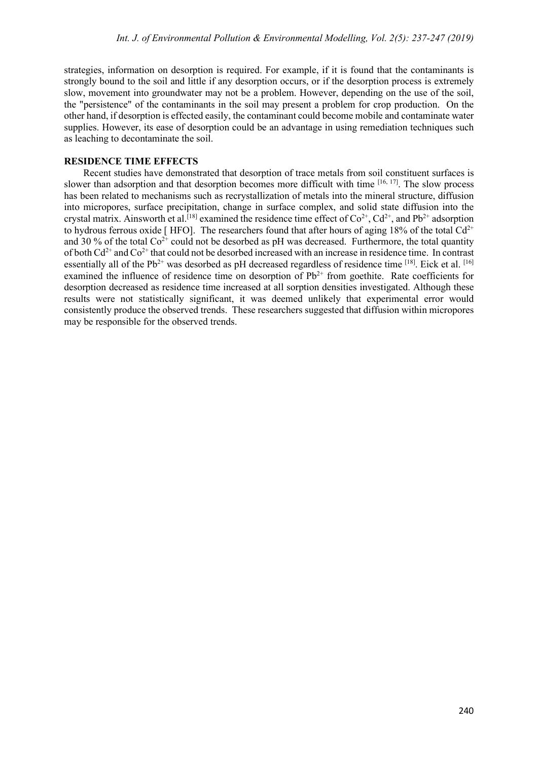strategies, information on desorption is required. For example, if it is found that the contaminants is strongly bound to the soil and little if any desorption occurs, or if the desorption process is extremely slow, movement into groundwater may not be a problem. However, depending on the use of the soil, the "persistence" of the contaminants in the soil may present a problem for crop production. On the other hand, if desorption is effected easily, the contaminant could become mobile and contaminate water supplies. However, its ease of desorption could be an advantage in using remediation techniques such as leaching to decontaminate the soil.

### **RESIDENCE TIME EFFECTS**

Recent studies have demonstrated that desorption of trace metals from soil constituent surfaces is slower than adsorption and that desorption becomes more difficult with time  $[16, 17]$ . The slow process has been related to mechanisms such as recrystallization of metals into the mineral structure, diffusion into micropores, surface precipitation, change in surface complex, and solid state diffusion into the crystal matrix. Ainsworth et al.<sup>[18]</sup> examined the residence time effect of  $Co^{2+}$ ,  $Cd^{2+}$ , and  $Pb^{2+}$  adsorption to hydrous ferrous oxide [ HFO]. The researchers found that after hours of aging 18% of the total  $Cd^{2+}$ and 30 % of the total  $Co^{2+}$  could not be desorbed as pH was decreased. Furthermore, the total quantity of both  $Cd^{2+}$  and  $Co^{2+}$  that could not be desorbed increased with an increase in residence time. In contrast essentially all of the Pb<sup>2+</sup> was desorbed as pH decreased regardless of residence time  $^{[18]}$ . Eick et al.  $^{[16]}$ examined the influence of residence time on desorption of  $Pb^{2+}$  from goethite. Rate coefficients for desorption decreased as residence time increased at all sorption densities investigated. Although these results were not statistically significant, it was deemed unlikely that experimental error would consistently produce the observed trends. These researchers suggested that diffusion within micropores may be responsible for the observed trends.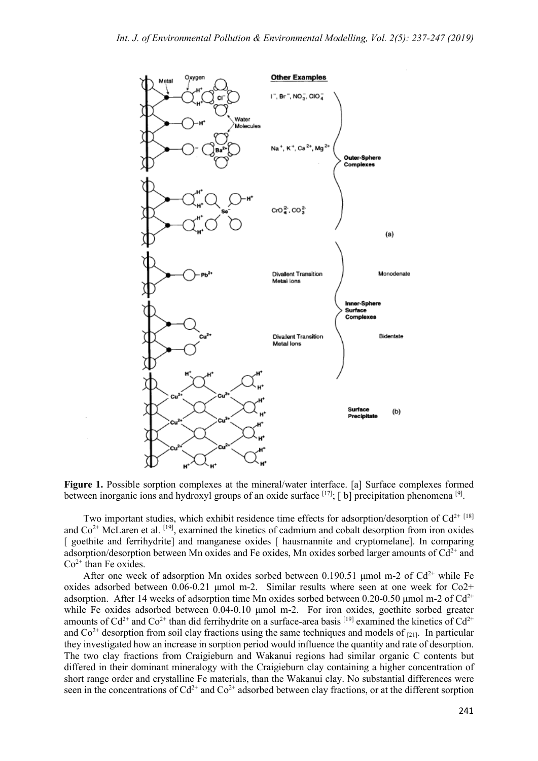

Figure 1. Possible sorption complexes at the mineral/water interface. [a] Surface complexes formed between inorganic ions and hydroxyl groups of an oxide surface <sup>[17]</sup>; [ b] precipitation phenomena <sup>[9]</sup>.

Two important studies, which exhibit residence time effects for adsorption/desorption of Cd<sup>2+ [18]</sup> and  $Co<sup>2+</sup> McLaren et al. <sup>[19]</sup>, examined the kinetics of cadmium and cobalt desorption from iron oxides$ [ goethite and ferrihydrite] and manganese oxides [ hausmannite and cryptomelane]. In comparing adsorption/desorption between Mn oxides and Fe oxides, Mn oxides sorbed larger amounts of  $Cd^{2+}$  and  $Co<sup>2+</sup>$  than Fe oxides.

After one week of adsorption Mn oxides sorbed between 0.190.51 µmol m-2 of  $Cd^{2+}$  while Fe oxides adsorbed between 0.06-0.21 μmol m-2. Similar results where seen at one week for Co2+ adsorption. After 14 weeks of adsorption time Mn oxides sorbed between 0.20-0.50 µmol m-2 of  $Cd^{2+}$ while Fe oxides adsorbed between 0.04-0.10 μmol m-2. For iron oxides, goethite sorbed greater amounts of  $Cd^{2+}$  and  $Co^{2+}$  than did ferrihydrite on a surface-area basis [19] examined the kinetics of  $Cd^{2+}$ and  $Co<sup>2+</sup>$  desorption from soil clay fractions using the same techniques and models of  $_{[21]}$ . In particular they investigated how an increase in sorption period would influence the quantity and rate of desorption. The two clay fractions from Craigieburn and Wakanui regions had similar organic C contents but differed in their dominant mineralogy with the Craigieburn clay containing a higher concentration of short range order and crystalline Fe materials, than the Wakanui clay. No substantial differences were seen in the concentrations of  $Cd^{2+}$  and  $Co^{2+}$  adsorbed between clay fractions, or at the different sorption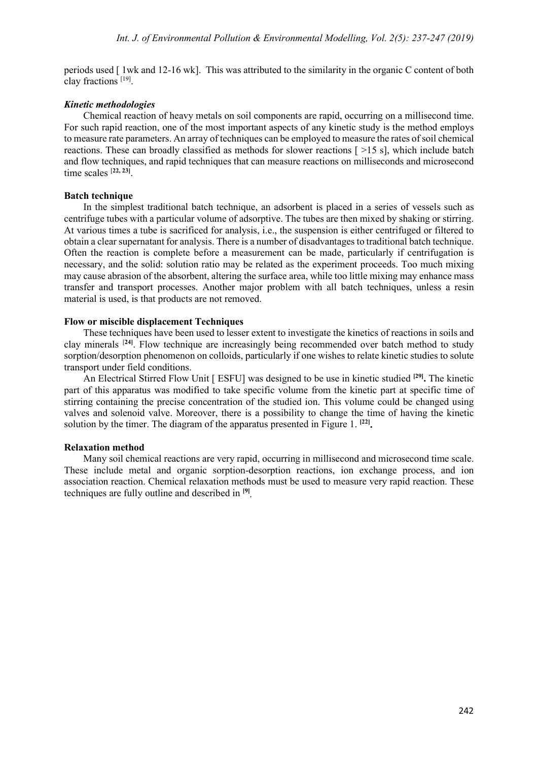periods used [ 1wk and 12-16 wk]. This was attributed to the similarity in the organic C content of both clay fractions [19] .

### *Kinetic methodologies*

Chemical reaction of heavy metals on soil components are rapid, occurring on a millisecond time. For such rapid reaction, one of the most important aspects of any kinetic study is the method employs to measure rate parameters. An array of techniques can be employed to measure the rates of soil chemical reactions. These can broadly classified as methods for slower reactions [ >15 s], which include batch and flow techniques, and rapid techniques that can measure reactions on milliseconds and microsecond time scales [**22, 23]** .

### **Batch technique**

In the simplest traditional batch technique, an adsorbent is placed in a series of vessels such as centrifuge tubes with a particular volume of adsorptive. The tubes are then mixed by shaking or stirring. At various times a tube is sacrificed for analysis, i.e., the suspension is either centrifuged or filtered to obtain a clear supernatant for analysis. There is a number of disadvantages to traditional batch technique. Often the reaction is complete before a measurement can be made, particularly if centrifugation is necessary, and the solid: solution ratio may be related as the experiment proceeds. Too much mixing may cause abrasion of the absorbent, altering the surface area, while too little mixing may enhance mass transfer and transport processes. Another major problem with all batch techniques, unless a resin material is used, is that products are not removed.

### **Flow or miscible displacement Techniques**

These techniques have been used to lesser extent to investigate the kinetics of reactions in soils and clay minerals [**24]** . Flow technique are increasingly being recommended over batch method to study sorption/desorption phenomenon on colloids, particularly if one wishes to relate kinetic studies to solute transport under field conditions.

An Electrical Stirred Flow Unit [ ESFU] was designed to be use in kinetic studied **[29] .** The kinetic part of this apparatus was modified to take specific volume from the kinetic part at specific time of stirring containing the precise concentration of the studied ion. This volume could be changed using valves and solenoid valve. Moreover, there is a possibility to change the time of having the kinetic solution by the timer. The diagram of the apparatus presented in Figure 1. **[22] .**

### **Relaxation method**

Many soil chemical reactions are very rapid, occurring in millisecond and microsecond time scale. These include metal and organic sorption-desorption reactions, ion exchange process, and ion association reaction. Chemical relaxation methods must be used to measure very rapid reaction. These techniques are fully outline and described in **[9] .**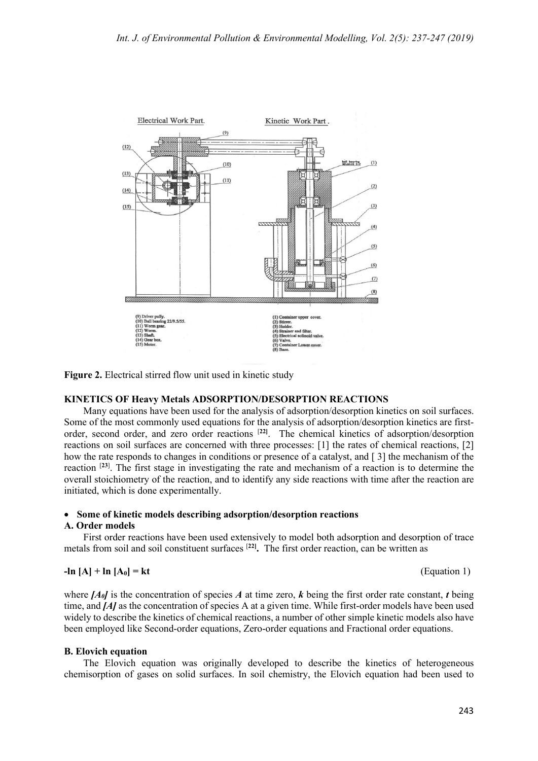

**Figure 2.** Electrical stirred flow unit used in kinetic study

### **KINETICS OF Heavy Metals ADSORPTION/DESORPTION REACTIONS**

Many equations have been used for the analysis of adsorption/desorption kinetics on soil surfaces. Some of the most commonly used equations for the analysis of adsorption/desorption kinetics are firstorder, second order, and zero order reactions [**22]** . The chemical kinetics of adsorption/desorption reactions on soil surfaces are concerned with three processes: [1] the rates of chemical reactions, [2] how the rate responds to changes in conditions or presence of a catalyst, and [ 3] the mechanism of the reaction [**23**] . The first stage in investigating the rate and mechanism of a reaction is to determine the overall stoichiometry of the reaction, and to identify any side reactions with time after the reaction are initiated, which is done experimentally.

### • **Some of kinetic models describing adsorption/desorption reactions**

### **A. Order models**

First order reactions have been used extensively to model both adsorption and desorption of trace metals from soil and soil constituent surfaces [**22] .** The first order reaction, can be written as

$$
-\ln [A] + \ln [A_0] = kt
$$

where  $[A_0]$  is the concentration of species A at time zero, k being the first order rate constant, t being time, and *[A]* as the concentration of species A at a given time. While first-order models have been used widely to describe the kinetics of chemical reactions, a number of other simple kinetic models also have been employed like Second-order equations, Zero-order equations and Fractional order equations.

### **B. Elovich equation**

The Elovich equation was originally developed to describe the kinetics of heterogeneous chemisorption of gases on solid surfaces. In soil chemistry, the Elovich equation had been used to

**(Equation 1)**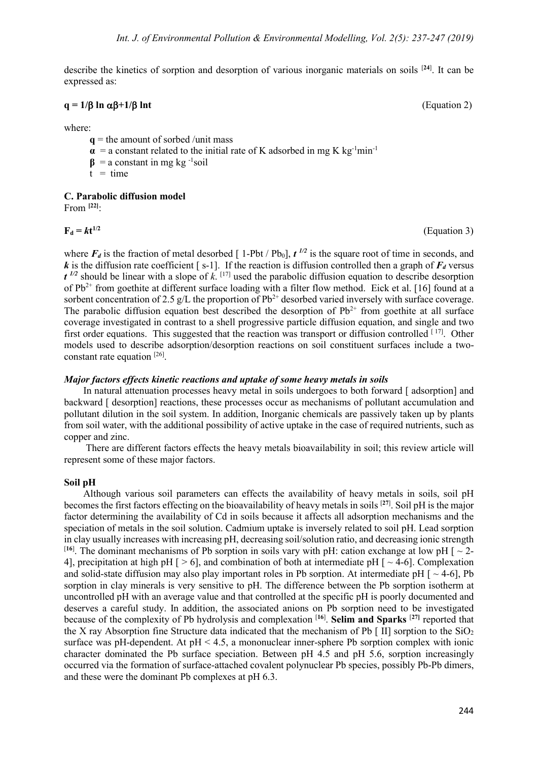describe the kinetics of sorption and desorption of various inorganic materials on soils [**24**] . It can be expressed as:

### $q = 1/\beta \ln \alpha \beta + 1/\beta \ln t$  (Equation 2)

where:

- $q$  = the amount of sorbed /unit mass
- $\alpha$  = a constant related to the initial rate of K adsorbed in mg K kg<sup>-1</sup>min<sup>-1</sup>
- $\beta$  = a constant in mg kg<sup>-1</sup>soil
- $t = time$

### **C. Parabolic diffusion model**

From **[22]** :

 $F_d = kt^{1/2}$ 

**1/2** (Equation 3)

where  $F_d$  is the fraction of metal desorbed [1-Pbt / Pb<sub>0</sub>],  $t^{1/2}$  is the square root of time in seconds, and *k* is the diffusion rate coefficient [ s-1]. If the reaction is diffusion controlled then a graph of  $F_d$  versus  $t^{1/2}$  should be linear with a slope of k. [17] used the parabolic diffusion equation to describe desorption of Pb<sup>2+</sup> from goethite at different surface loading with a filter flow method. Eick et al. [16] found at a sorbent concentration of 2.5 g/L the proportion of  $Pb^{2+}$  desorbed varied inversely with surface coverage. The parabolic diffusion equation best described the desorption of  $Pb^{2+}$  from goethite at all surface coverage investigated in contrast to a shell progressive particle diffusion equation, and single and two first order equations. This suggested that the reaction was transport or diffusion controlled [17]. Other models used to describe adsorption/desorption reactions on soil constituent surfaces include a twoconstant rate equation [26] .

#### *Major factors effects kinetic reactions and uptake of some heavy metals in soils*

In natural attenuation processes heavy metal in soils undergoes to both forward [ adsorption] and backward [ desorption] reactions, these processes occur as mechanisms of pollutant accumulation and pollutant dilution in the soil system. In addition, Inorganic chemicals are passively taken up by plants from soil water, with the additional possibility of active uptake in the case of required nutrients, such as copper and zinc.

There are different factors effects the heavy metals bioavailability in soil; this review article will represent some of these major factors.

### **Soil pH**

Although various soil parameters can effects the availability of heavy metals in soils, soil pH becomes the first factors effecting on the bioavailability of heavy metals in soils [**27**] . Soil pH is the major factor determining the availability of Cd in soils because it affects all adsorption mechanisms and the speciation of metals in the soil solution. Cadmium uptake is inversely related to soil pH. Lead sorption in clay usually increases with increasing pH, decreasing soil/solution ratio, and decreasing ionic strength <sup>[16]</sup>. The dominant mechanisms of Pb sorption in soils vary with pH: cation exchange at low pH [ $\sim$  2-4], precipitation at high pH  $\lceil$  > 6], and combination of both at intermediate pH  $\lceil$   $\sim$  4-6]. Complexation and solid-state diffusion may also play important roles in Pb sorption. At intermediate pH  $\sim$  4-6], Pb sorption in clay minerals is very sensitive to pH. The difference between the Pb sorption isotherm at uncontrolled pH with an average value and that controlled at the specific pH is poorly documented and deserves a careful study. In addition, the associated anions on Pb sorption need to be investigated because of the complexity of Pb hydrolysis and complexation [**16**] . **Selim and Sparks** [**27]** reported that the X ray Absorption fine Structure data indicated that the mechanism of Pb  $\lceil \text{II} \rceil$  sorption to the SiO<sub>2</sub> surface was pH-dependent. At  $pH < 4.5$ , a mononuclear inner-sphere Pb sorption complex with ionic character dominated the Pb surface speciation. Between pH 4.5 and pH 5.6, sorption increasingly occurred via the formation of surface-attached covalent polynuclear Pb species, possibly Pb-Pb dimers, and these were the dominant Pb complexes at pH 6.3.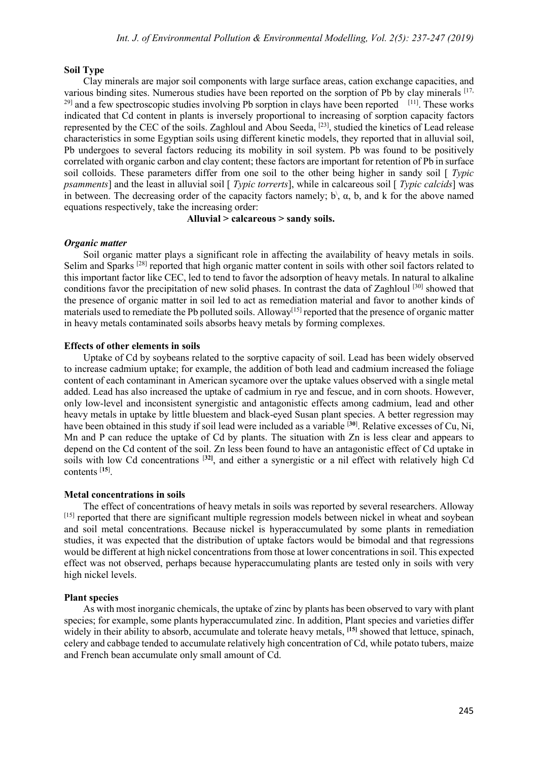#### **Soil Type**

Clay minerals are major soil components with large surface areas, cation exchange capacities, and various binding sites. Numerous studies have been reported on the sorption of Pb by clay minerals [17,  $^{29}$  and a few spectroscopic studies involving Pb sorption in clays have been reported  $[11]$ . These works indicated that Cd content in plants is inversely proportional to increasing of sorption capacity factors represented by the CEC of the soils. Zaghloul and Abou Seeda, [23], studied the kinetics of Lead release characteristics in some Egyptian soils using different kinetic models, they reported that in alluvial soil, Pb undergoes to several factors reducing its mobility in soil system. Pb was found to be positively correlated with organic carbon and clay content; these factors are important for retention of Pb in surface soil colloids. These parameters differ from one soil to the other being higher in sandy soil [ *Typic psamments*] and the least in alluvial soil [ *Typic torrerts*], while in calcareous soil [ *Typic calcids*] was in between. The decreasing order of the capacity factors namely;  $b\$ ,  $\alpha$ ,  $b$ , and  $k$  for the above named equations respectively, take the increasing order:

#### **Alluvial > calcareous > sandy soils.**

### *Organic matter*

Soil organic matter plays a significant role in affecting the availability of heavy metals in soils. Selim and Sparks <sup>[28]</sup> reported that high organic matter content in soils with other soil factors related to this important factor like CEC, led to tend to favor the adsorption of heavy metals. In natural to alkaline conditions favor the precipitation of new solid phases. In contrast the data of Zaghloul [30] showed that the presence of organic matter in soil led to act as remediation material and favor to another kinds of materials used to remediate the Pb polluted soils. Alloway<sup>[15]</sup> reported that the presence of organic matter in heavy metals contaminated soils absorbs heavy metals by forming complexes.

#### **Effects of other elements in soils**

Uptake of Cd by soybeans related to the sorptive capacity of soil. Lead has been widely observed to increase cadmium uptake; for example, the addition of both lead and cadmium increased the foliage content of each contaminant in American sycamore over the uptake values observed with a single metal added. Lead has also increased the uptake of cadmium in rye and fescue, and in corn shoots. However, only low-level and inconsistent synergistic and antagonistic effects among cadmium, lead and other heavy metals in uptake by little bluestem and black-eyed Susan plant species. A better regression may have been obtained in this study if soil lead were included as a variable [**30**] . Relative excesses of Cu, Ni, Mn and P can reduce the uptake of Cd by plants. The situation with Zn is less clear and appears to depend on the Cd content of the soil. Zn less been found to have an antagonistic effect of Cd uptake in soils with low Cd concentrations [**32]** , and either a synergistic or a nil effect with relatively high Cd contents [**15**] .

#### **Metal concentrations in soils**

The effect of concentrations of heavy metals in soils was reported by several researchers. Alloway [15] reported that there are significant multiple regression models between nickel in wheat and soybean and soil metal concentrations. Because nickel is hyperaccumulated by some plants in remediation studies, it was expected that the distribution of uptake factors would be bimodal and that regressions would be different at high nickel concentrations from those at lower concentrations in soil. This expected effect was not observed, perhaps because hyperaccumulating plants are tested only in soils with very high nickel levels.

#### **Plant species**

As with most inorganic chemicals, the uptake of zinc by plants has been observed to vary with plant species; for example, some plants hyperaccumulated zinc. In addition, Plant species and varieties differ widely in their ability to absorb, accumulate and tolerate heavy metals, <sup>[15]</sup> showed that lettuce, spinach, celery and cabbage tended to accumulate relatively high concentration of Cd, while potato tubers, maize and French bean accumulate only small amount of Cd.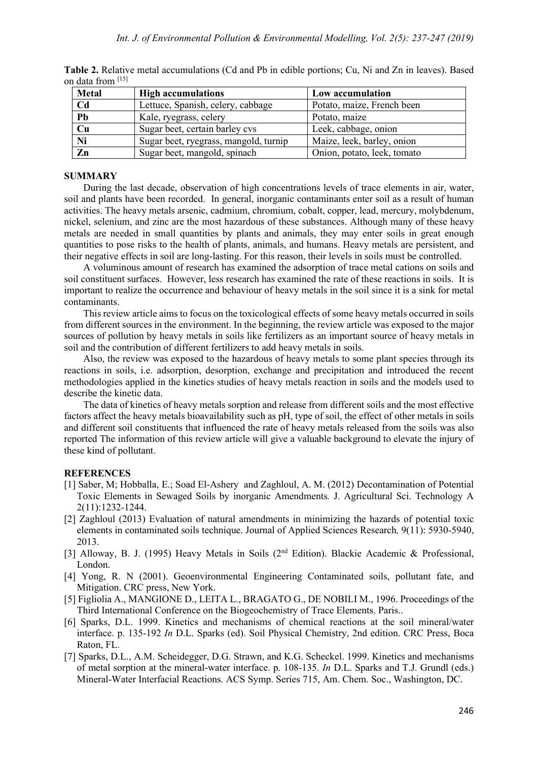| <b>Metal</b>     | <b>High accumulations</b>             | Low accumulation            |  |
|------------------|---------------------------------------|-----------------------------|--|
| C <sub>d</sub>   | Lettuce, Spanish, celery, cabbage     | Potato, maize, French been  |  |
| Pb               | Kale, ryegrass, celery                | Potato, maize               |  |
| Cu               | Sugar beet, certain barley cvs        | Leek, cabbage, onion        |  |
| Ni               | Sugar beet, ryegrass, mangold, turnip | Maize, leek, barley, onion  |  |
| $\overline{z_n}$ | Sugar beet, mangold, spinach          | Onion, potato, leek, tomato |  |

**Table 2.** Relative metal accumulations (Cd and Pb in edible portions; Cu, Ni and Zn in leaves). Based on data from [15] 

#### **SUMMARY**

During the last decade, observation of high concentrations levels of trace elements in air, water, soil and plants have been recorded. In general, inorganic contaminants enter soil as a result of human activities. The heavy metals arsenic, cadmium, chromium, cobalt, copper, lead, mercury, molybdenum, nickel, selenium, and zinc are the most hazardous of these substances. Although many of these heavy metals are needed in small quantities by plants and animals, they may enter soils in great enough quantities to pose risks to the health of plants, animals, and humans. Heavy metals are persistent, and their negative effects in soil are long-lasting. For this reason, their levels in soils must be controlled.

A voluminous amount of research has examined the adsorption of trace metal cations on soils and soil constituent surfaces. However, less research has examined the rate of these reactions in soils. It is important to realize the occurrence and behaviour of heavy metals in the soil since it is a sink for metal contaminants.

This review article aims to focus on the toxicological effects of some heavy metals occurred in soils from different sources in the environment. In the beginning, the review article was exposed to the major sources of pollution by heavy metals in soils like fertilizers as an important source of heavy metals in soil and the contribution of different fertilizers to add heavy metals in soils.

Also, the review was exposed to the hazardous of heavy metals to some plant species through its reactions in soils, i.e. adsorption, desorption, exchange and precipitation and introduced the recent methodologies applied in the kinetics studies of heavy metals reaction in soils and the models used to describe the kinetic data.

The data of kinetics of heavy metals sorption and release from different soils and the most effective factors affect the heavy metals bioavailability such as pH, type of soil, the effect of other metals in soils and different soil constituents that influenced the rate of heavy metals released from the soils was also reported The information of this review article will give a valuable background to elevate the injury of these kind of pollutant.

#### **REFERENCES**

- [1] Saber, M; Hobballa, E.; Soad El-Ashery and Zaghloul, A. M. (2012) Decontamination of Potential Toxic Elements in Sewaged Soils by inorganic Amendments*.* J. Agricultural Sci. Technology A 2(11):1232-1244.
- [2] Zaghloul (2013) Evaluation of natural amendments in minimizing the hazards of potential toxic elements in contaminated soils technique. Journal of Applied Sciences Research*,* 9(11): 5930-5940, 2013.
- [3] Alloway, B. J. (1995) Heavy Metals in Soils (2<sup>nd</sup> Edition). Blackie Academic & Professional, London.
- [4] Yong, R. N (2001). Geoenvironmental Engineering Contaminated soils, pollutant fate, and Mitigation. CRC press, New York.
- [5] Figliolia A., MANGIONE D., LEITA L., BRAGATO G., DE NOBILI M., 1996. Proceedings of the Third International Conference on the Biogeochemistry of Trace Elements. Paris..
- [6] Sparks, D.L. 1999. Kinetics and mechanisms of chemical reactions at the soil mineral/water interface. p. 135-192 *In* D.L. Sparks (ed). Soil Physical Chemistry, 2nd edition. CRC Press, Boca Raton, FL.
- [7] Sparks, D.L., A.M. Scheidegger, D.G. Strawn, and K.G. Scheckel. 1999. Kinetics and mechanisms of metal sorption at the mineral-water interface. p. 108-135. *In* D.L. Sparks and T.J. Grundl (eds.) Mineral-Water Interfacial Reactions. ACS Symp. Series 715, Am. Chem. Soc., Washington, DC.